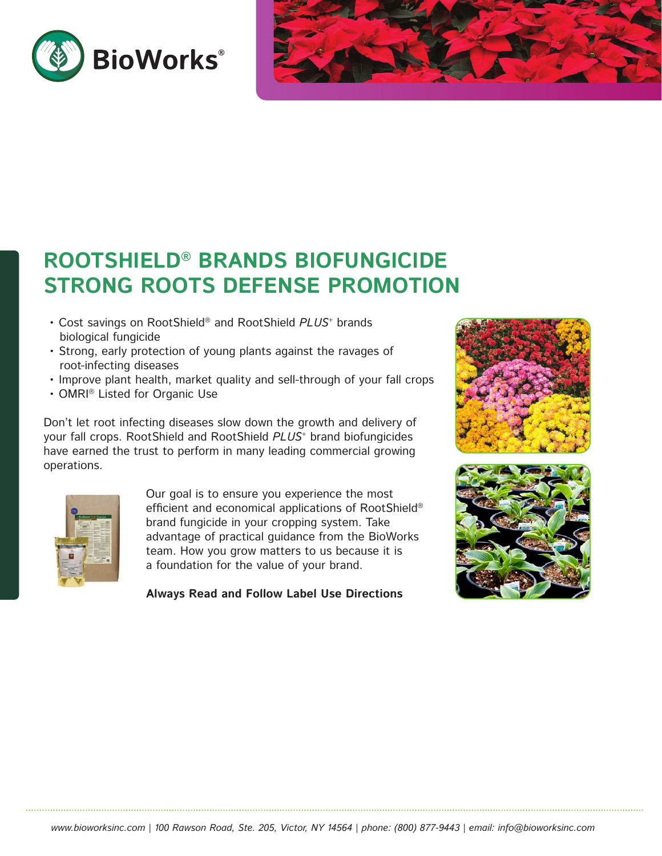



# **ROOTSHIELD® BRANDS BIOFUNGICIDE STRONG ROOTS DEFENSE PROMOTION**

- Cost savings on RootShield® and RootShield *PLUS*+ brands biological fungicide
- Strong, early protection of young plants against the ravages of root-infecting diseases
- Improve plant health, market quality and sell-through of your fall crops
- OMRI® Listed for Organic Use

Don't let root infecting diseases slow down the growth and delivery of your fall crops. RootShield and RootShield *PLUS*+ brand biofungicides have earned the trust to perform in many leading commercial growing operations.



Our goal is to ensure you experience the most efficient and economical applications of RootShield® brand fungicide in your cropping system. Take advantage of practical guidance from the BioWorks team. How you grow matters to us because it is a foundation for the value of your brand.

**Always Read and Follow Label Use Directions**